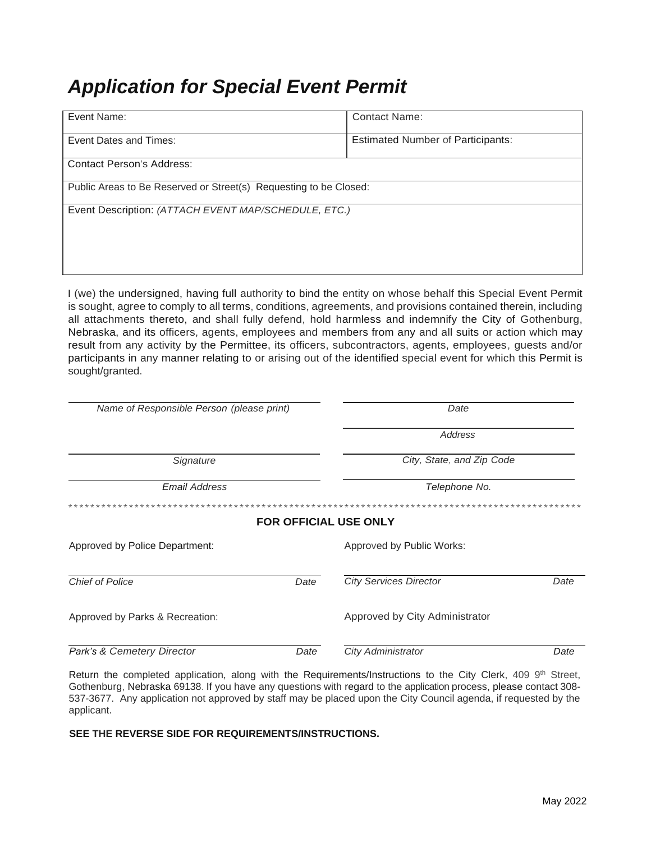# **Application for Special Event Permit**

| Event Name:                                                       | <b>Contact Name:</b>                     |  |  |
|-------------------------------------------------------------------|------------------------------------------|--|--|
| Event Dates and Times:                                            | <b>Estimated Number of Participants:</b> |  |  |
| <b>Contact Person's Address:</b>                                  |                                          |  |  |
| Public Areas to Be Reserved or Street(s) Requesting to be Closed: |                                          |  |  |
| Event Description: (ATTACH EVENT MAP/SCHEDULE, ETC.)              |                                          |  |  |
|                                                                   |                                          |  |  |
|                                                                   |                                          |  |  |

I (we) the undersigned, having full authority to bind the entity on whose behalf this Special Event Permit is sought, agree to comply to all terms, conditions, agreements, and provisions contained therein, including all attachments thereto, and shall fully defend, hold harmless and indemnify the City of Gothenburg, Nebraska, and its officers, agents, employees and members from any and all suits or action which may result from any activity by the Permittee, its officers, subcontractors, agents, employees, guests and/or participants in any manner relating to or arising out of the identified special event for which this Permit is sought/granted.

| Name of Responsible Person (please print) |      | Date                           |      |  |
|-------------------------------------------|------|--------------------------------|------|--|
|                                           |      | Address                        |      |  |
| Signature                                 |      | City, State, and Zip Code      |      |  |
| <b>Email Address</b>                      |      | Telephone No.                  |      |  |
| *************                             |      |                                |      |  |
| <b>FOR OFFICIAL USE ONLY</b>              |      |                                |      |  |
| Approved by Police Department:            |      | Approved by Public Works:      |      |  |
| <b>Chief of Police</b>                    | Date | <b>City Services Director</b>  | Date |  |
| Approved by Parks & Recreation:           |      | Approved by City Administrator |      |  |
| Park's & Cemetery Director                | Date | <b>City Administrator</b>      | Date |  |

Return the completed application, along with the Requirements/Instructions to the City Clerk, 409 9<sup>th</sup> Street, Gothenburg, Nebraska 69138. If you have any questions with regard to the application process, please contact 308-537-3677. Any application not approved by staff may be placed upon the City Council agenda, if requested by the applicant.

#### SEE THE REVERSE SIDE FOR REQUIREMENTS/INSTRUCTIONS.